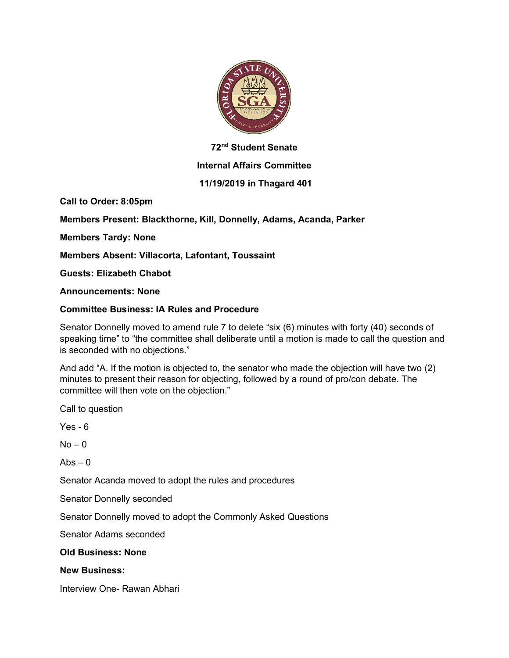

## **72nd Student Senate**

## **Internal Affairs Committee**

## **11/19/2019 in Thagard 401**

**Call to Order: 8:05pm**

**Members Present: Blackthorne, Kill, Donnelly, Adams, Acanda, Parker**

**Members Tardy: None**

**Members Absent: Villacorta, Lafontant, Toussaint**

**Guests: Elizabeth Chabot** 

**Announcements: None**

### **Committee Business: IA Rules and Procedure**

Senator Donnelly moved to amend rule 7 to delete "six (6) minutes with forty (40) seconds of speaking time" to "the committee shall deliberate until a motion is made to call the question and is seconded with no objections."

And add "A. If the motion is objected to, the senator who made the objection will have two (2) minutes to present their reason for objecting, followed by a round of pro/con debate. The committee will then vote on the objection."

Call to question

Yes - 6

 $No - 0$ 

 $Abs - 0$ 

Senator Acanda moved to adopt the rules and procedures

Senator Donnelly seconded

Senator Donnelly moved to adopt the Commonly Asked Questions

Senator Adams seconded

#### **Old Business: None**

#### **New Business:**

Interview One- Rawan Abhari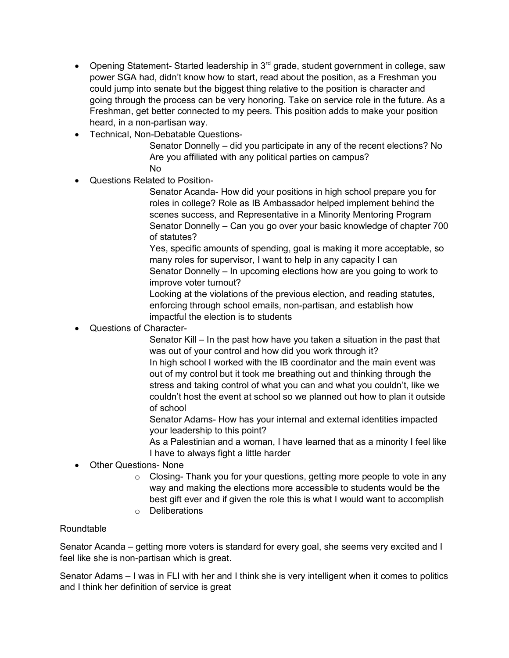- Opening Statement- Started leadership in  $3<sup>rd</sup>$  grade, student government in college, saw power SGA had, didn't know how to start, read about the position, as a Freshman you could jump into senate but the biggest thing relative to the position is character and going through the process can be very honoring. Take on service role in the future. As a Freshman, get better connected to my peers. This position adds to make your position heard, in a non-partisan way.
- Technical, Non-Debatable Questions-

Senator Donnelly – did you participate in any of the recent elections? No Are you affiliated with any political parties on campus? No

• Questions Related to Position-

Senator Acanda- How did your positions in high school prepare you for roles in college? Role as IB Ambassador helped implement behind the scenes success, and Representative in a Minority Mentoring Program Senator Donnelly – Can you go over your basic knowledge of chapter 700 of statutes?

Yes, specific amounts of spending, goal is making it more acceptable, so many roles for supervisor, I want to help in any capacity I can Senator Donnelly – In upcoming elections how are you going to work to improve voter turnout?

Looking at the violations of the previous election, and reading statutes, enforcing through school emails, non-partisan, and establish how impactful the election is to students

• Questions of Character-

Senator Kill – In the past how have you taken a situation in the past that was out of your control and how did you work through it? In high school I worked with the IB coordinator and the main event was out of my control but it took me breathing out and thinking through the stress and taking control of what you can and what you couldn't, like we couldn't host the event at school so we planned out how to plan it outside of school

Senator Adams- How has your internal and external identities impacted your leadership to this point?

As a Palestinian and a woman, I have learned that as a minority I feel like I have to always fight a little harder

- Other Questions- None
	- $\circ$  Closing- Thank you for your questions, getting more people to vote in any way and making the elections more accessible to students would be the best gift ever and if given the role this is what I would want to accomplish
	- o Deliberations

# Roundtable

Senator Acanda – getting more voters is standard for every goal, she seems very excited and I feel like she is non-partisan which is great.

Senator Adams – I was in FLI with her and I think she is very intelligent when it comes to politics and I think her definition of service is great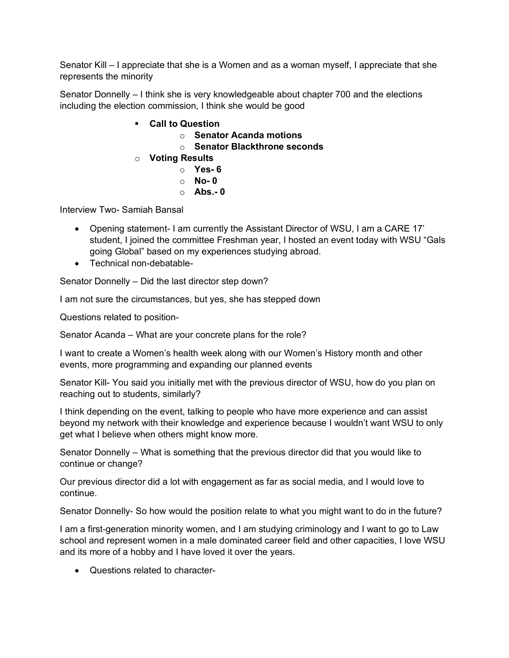Senator Kill – I appreciate that she is a Women and as a woman myself, I appreciate that she represents the minority

Senator Donnelly – I think she is very knowledgeable about chapter 700 and the elections including the election commission, I think she would be good

- § **Call to Question**
	- o **Senator Acanda motions**
	- o **Senator Blackthrone seconds**
- o **Voting Results**
	- o **Yes- 6**
	- o **No- 0**
	- o **Abs.- 0**

Interview Two- Samiah Bansal

- Opening statement- I am currently the Assistant Director of WSU, I am a CARE 17' student, I joined the committee Freshman year, I hosted an event today with WSU "Gals going Global" based on my experiences studying abroad.
- Technical non-debatable-

Senator Donnelly – Did the last director step down?

I am not sure the circumstances, but yes, she has stepped down

Questions related to position-

Senator Acanda – What are your concrete plans for the role?

I want to create a Women's health week along with our Women's History month and other events, more programming and expanding our planned events

Senator Kill- You said you initially met with the previous director of WSU, how do you plan on reaching out to students, similarly?

I think depending on the event, talking to people who have more experience and can assist beyond my network with their knowledge and experience because I wouldn't want WSU to only get what I believe when others might know more.

Senator Donnelly – What is something that the previous director did that you would like to continue or change?

Our previous director did a lot with engagement as far as social media, and I would love to continue.

Senator Donnelly- So how would the position relate to what you might want to do in the future?

I am a first-generation minority women, and I am studying criminology and I want to go to Law school and represent women in a male dominated career field and other capacities, I love WSU and its more of a hobby and I have loved it over the years.

• Questions related to character-